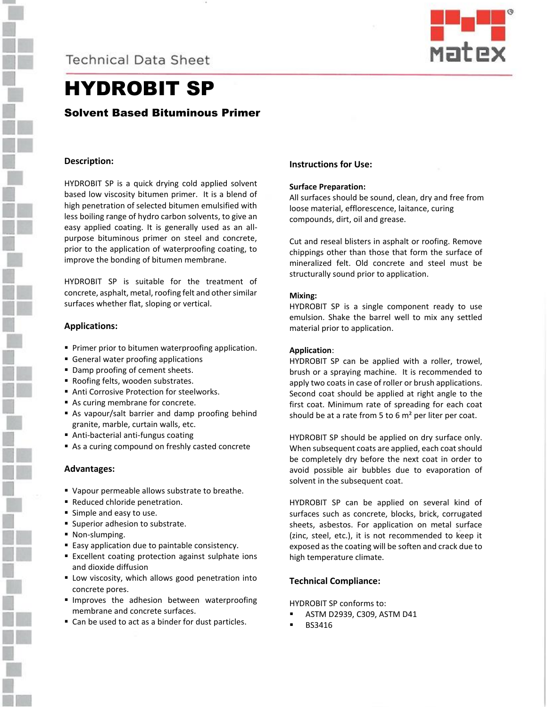

**Technical Data Sheet** 



## HYDROBIT SP

## Solvent Based Bituminous Primer

## **Description:**

HYDROBIT SP is a quick drying cold applied solvent based low viscosity bitumen primer. It is a blend of high penetration of selected bitumen emulsified with less boiling range of hydro carbon solvents, to give an easy applied coating. It is generally used as an allpurpose bituminous primer on steel and concrete, prior to the application of waterproofing coating, to improve the bonding of bitumen membrane.

HYDROBIT SP is suitable for the treatment of concrete, asphalt, metal, roofing felt and other similar surfaces whether flat, sloping or vertical.

#### **Applications:**

- **Primer prior to bitumen waterproofing application.**
- **E** General water proofing applications
- Damp proofing of cement sheets.
- Roofing felts, wooden substrates.
- Anti Corrosive Protection for steelworks.
- As curing membrane for concrete.
- As vapour/salt barrier and damp proofing behind granite, marble, curtain walls, etc.
- Anti-bacterial anti-fungus coating
- As a curing compound on freshly casted concrete

## **Advantages:**

- Vapour permeable allows substrate to breathe.
- Reduced chloride penetration.
- **E** Simple and easy to use.
- Superior adhesion to substrate.
- Non-slumping.
- Easy application due to paintable consistency.
- Excellent coating protection against sulphate ions and dioxide diffusion
- **E** Low viscosity, which allows good penetration into concrete pores.
- **Improves the adhesion between waterproofing** membrane and concrete surfaces.
- Can be used to act as a binder for dust particles.

## **Instructions for Use:**

## **Surface Preparation:**

All surfaces should be sound, clean, dry and free from loose material, efflorescence, laitance, curing compounds, dirt, oil and grease.

Cut and reseal blisters in asphalt or roofing. Remove chippings other than those that form the surface of mineralized felt. Old concrete and steel must be structurally sound prior to application.

#### **Mixing:**

HYDROBIT SP is a single component ready to use emulsion. Shake the barrel well to mix any settled material prior to application.

## **Application**:

HYDROBIT SP can be applied with a roller, trowel, brush or a spraying machine. It is recommended to apply two coats in case of roller or brush applications. Second coat should be applied at right angle to the first coat. Minimum rate of spreading for each coat should be at a rate from 5 to 6  $m<sup>2</sup>$  per liter per coat.

HYDROBIT SP should be applied on dry surface only. When subsequent coats are applied, each coat should be completely dry before the next coat in order to avoid possible air bubbles due to evaporation of solvent in the subsequent coat.

HYDROBIT SP can be applied on several kind of surfaces such as concrete, blocks, brick, corrugated sheets, asbestos. For application on metal surface (zinc, steel, etc.), it is not recommended to keep it exposed as the coating will be soften and crack due to high temperature climate.

## **Technical Compliance:**

HYDROBIT SP conforms to:

- ASTM D2939, C309, ASTM D41
- **BS3416**